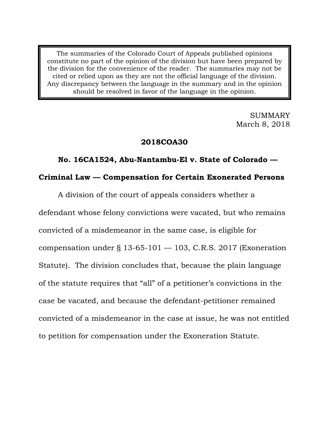The summaries of the Colorado Court of Appeals published opinions constitute no part of the opinion of the division but have been prepared by the division for the convenience of the reader. The summaries may not be cited or relied upon as they are not the official language of the division. Any discrepancy between the language in the summary and in the opinion should be resolved in favor of the language in the opinion.

> SUMMARY March 8, 2018

### **2018COA30**

# **No. 16CA1524, Abu-Nantambu-El v. State of Colorado — Criminal Law — Compensation for Certain Exonerated Persons**

A division of the court of appeals considers whether a

defendant whose felony convictions were vacated, but who remains convicted of a misdemeanor in the same case, is eligible for compensation under § 13-65-101 — 103, C.R.S. 2017 (Exoneration Statute). The division concludes that, because the plain language of the statute requires that "all" of a petitioner's convictions in the case be vacated, and because the defendant-petitioner remained convicted of a misdemeanor in the case at issue, he was not entitled to petition for compensation under the Exoneration Statute.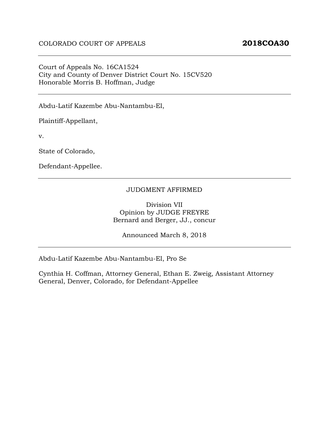## Court of Appeals No. 16CA1524 City and County of Denver District Court No. 15CV520 Honorable Morris B. Hoffman, Judge

Abdu-Latif Kazembe Abu-Nantambu-El,

Plaintiff-Appellant,

v.

State of Colorado,

Defendant-Appellee.

#### JUDGMENT AFFIRMED

Division VII Opinion by JUDGE FREYRE Bernard and Berger, JJ., concur

Announced March 8, 2018

Abdu-Latif Kazembe Abu-Nantambu-El, Pro Se

Cynthia H. Coffman, Attorney General, Ethan E. Zweig, Assistant Attorney General, Denver, Colorado, for Defendant-Appellee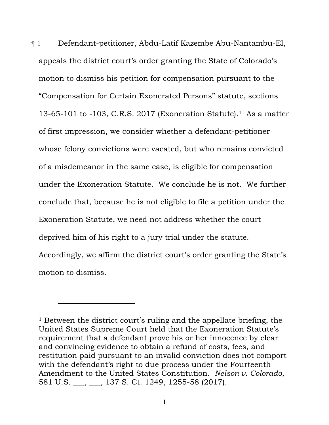¶ 1 Defendant-petitioner, Abdu-Latif Kazembe Abu-Nantambu-El, appeals the district court's order granting the State of Colorado's motion to dismiss his petition for compensation pursuant to the "Compensation for Certain Exonerated Persons" statute, sections 13-65-101 to -103, C.R.S. 2017 (Exoneration Statute).<sup>1</sup> As a matter of first impression, we consider whether a defendant-petitioner whose felony convictions were vacated, but who remains convicted of a misdemeanor in the same case, is eligible for compensation under the Exoneration Statute. We conclude he is not. We further conclude that, because he is not eligible to file a petition under the Exoneration Statute, we need not address whether the court deprived him of his right to a jury trial under the statute. Accordingly, we affirm the district court's order granting the State's motion to dismiss.

-

<sup>&</sup>lt;sup>1</sup> Between the district court's ruling and the appellate briefing, the United States Supreme Court held that the Exoneration Statute's requirement that a defendant prove his or her innocence by clear and convincing evidence to obtain a refund of costs, fees, and restitution paid pursuant to an invalid conviction does not comport with the defendant's right to due process under the Fourteenth Amendment to the United States Constitution. *Nelson v. Colorado*, 581 U.S. \_\_\_, \_\_\_, 137 S. Ct. 1249, 1255-58 (2017).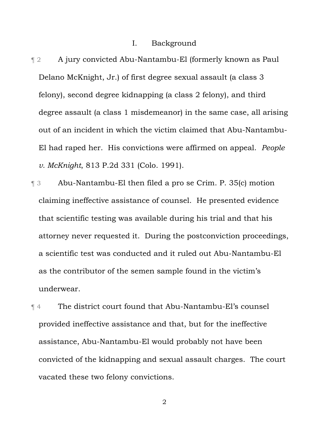#### I. Background

- ¶ 2 A jury convicted Abu-Nantambu-El (formerly known as Paul Delano McKnight, Jr.) of first degree sexual assault (a class 3 felony), second degree kidnapping (a class 2 felony), and third degree assault (a class 1 misdemeanor) in the same case, all arising out of an incident in which the victim claimed that Abu-Nantambu-El had raped her. His convictions were affirmed on appeal. *People v. McKnight*, 813 P.2d 331 (Colo. 1991).
- ¶ 3 Abu-Nantambu-El then filed a pro se Crim. P. 35(c) motion claiming ineffective assistance of counsel. He presented evidence that scientific testing was available during his trial and that his attorney never requested it. During the postconviction proceedings, a scientific test was conducted and it ruled out Abu-Nantambu-El as the contributor of the semen sample found in the victim's underwear.

¶ 4 The district court found that Abu-Nantambu-El's counsel provided ineffective assistance and that, but for the ineffective assistance, Abu-Nantambu-El would probably not have been convicted of the kidnapping and sexual assault charges. The court vacated these two felony convictions.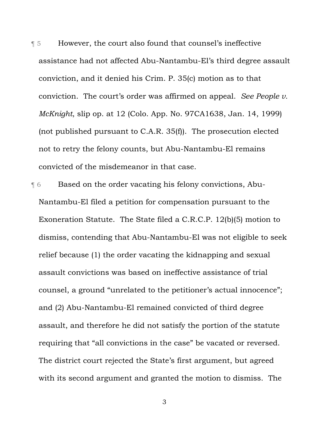¶ 5 However, the court also found that counsel's ineffective assistance had not affected Abu-Nantambu-El's third degree assault conviction, and it denied his Crim. P. 35(c) motion as to that conviction. The court's order was affirmed on appeal. *See People v. McKnight*, slip op. at 12 (Colo. App. No. 97CA1638, Jan. 14, 1999) (not published pursuant to C.A.R. 35(f)). The prosecution elected not to retry the felony counts, but Abu-Nantambu-El remains convicted of the misdemeanor in that case.

¶ 6 Based on the order vacating his felony convictions, Abu-Nantambu-El filed a petition for compensation pursuant to the Exoneration Statute. The State filed a C.R.C.P. 12(b)(5) motion to dismiss, contending that Abu-Nantambu-El was not eligible to seek relief because (1) the order vacating the kidnapping and sexual assault convictions was based on ineffective assistance of trial counsel, a ground "unrelated to the petitioner's actual innocence"; and (2) Abu-Nantambu-El remained convicted of third degree assault, and therefore he did not satisfy the portion of the statute requiring that "all convictions in the case" be vacated or reversed. The district court rejected the State's first argument, but agreed with its second argument and granted the motion to dismiss. The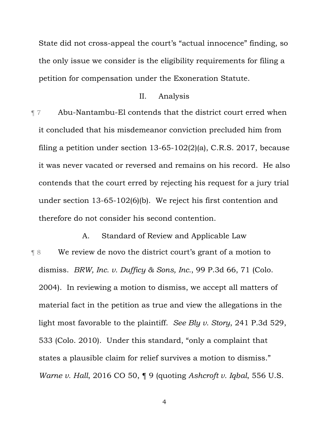State did not cross-appeal the court's "actual innocence" finding, so the only issue we consider is the eligibility requirements for filing a petition for compensation under the Exoneration Statute.

## II. Analysis

¶ 7 Abu-Nantambu-El contends that the district court erred when it concluded that his misdemeanor conviction precluded him from filing a petition under section 13-65-102(2)(a), C.R.S. 2017, because it was never vacated or reversed and remains on his record. He also contends that the court erred by rejecting his request for a jury trial under section 13-65-102(6)(b). We reject his first contention and therefore do not consider his second contention.

A. Standard of Review and Applicable Law ¶ 8 We review de novo the district court's grant of a motion to dismiss. *BRW, Inc. v. Dufficy & Sons, Inc.*, 99 P.3d 66, 71 (Colo. 2004). In reviewing a motion to dismiss, we accept all matters of material fact in the petition as true and view the allegations in the light most favorable to the plaintiff. *See Bly v. Story*, 241 P.3d 529, 533 (Colo. 2010). Under this standard, "only a complaint that states a plausible claim for relief survives a motion to dismiss." *Warne v. Hall*, 2016 CO 50, ¶ 9 (quoting *Ashcroft v. Iqbal*, 556 U.S.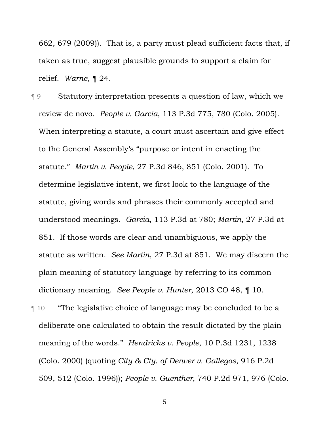662, 679 (2009)). That is, a party must plead sufficient facts that, if taken as true, suggest plausible grounds to support a claim for relief. *Warne*, ¶ 24.

¶ 9 Statutory interpretation presents a question of law, which we review de novo. *People v. Garcia*, 113 P.3d 775, 780 (Colo. 2005). When interpreting a statute, a court must ascertain and give effect to the General Assembly's "purpose or intent in enacting the statute." *Martin v. People*, 27 P.3d 846, 851 (Colo. 2001). To determine legislative intent, we first look to the language of the statute, giving words and phrases their commonly accepted and understood meanings. *Garcia*, 113 P.3d at 780; *Martin*, 27 P.3d at 851. If those words are clear and unambiguous, we apply the statute as written. *See Martin*, 27 P.3d at 851. We may discern the plain meaning of statutory language by referring to its common dictionary meaning. *See People v. Hunter*, 2013 CO 48, ¶ 10.

¶ 10 "The legislative choice of language may be concluded to be a deliberate one calculated to obtain the result dictated by the plain meaning of the words." *Hendricks v. People*, 10 P.3d 1231, 1238 (Colo. 2000) (quoting *City & Cty. of Denver v. Gallegos*, 916 P.2d 509, 512 (Colo. 1996)); *People v. Guenther*, 740 P.2d 971, 976 (Colo.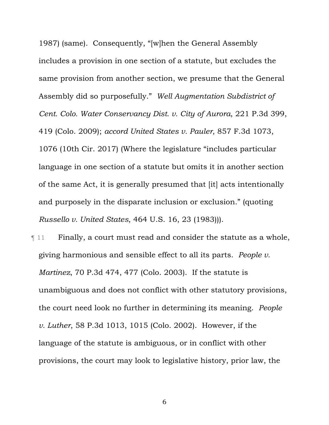1987) (same). Consequently, "[w]hen the General Assembly includes a provision in one section of a statute, but excludes the same provision from another section, we presume that the General Assembly did so purposefully." *Well Augmentation Subdistrict of Cent. Colo. Water Conservancy Dist. v. City of Aurora*, 221 P.3d 399, 419 (Colo. 2009); *accord United States v. Pauler*, 857 F.3d 1073, 1076 (10th Cir. 2017) (Where the legislature "includes particular language in one section of a statute but omits it in another section of the same Act, it is generally presumed that [it] acts intentionally and purposely in the disparate inclusion or exclusion." (quoting *Russello v. United States*, 464 U.S. 16, 23 (1983))).

**Term Finally, a court must read and consider the statute as a whole,** giving harmonious and sensible effect to all its parts. *People v. Martinez*, 70 P.3d 474, 477 (Colo. 2003). If the statute is unambiguous and does not conflict with other statutory provisions, the court need look no further in determining its meaning. *People v. Luther*, 58 P.3d 1013, 1015 (Colo. 2002). However, if the language of the statute is ambiguous, or in conflict with other provisions, the court may look to legislative history, prior law, the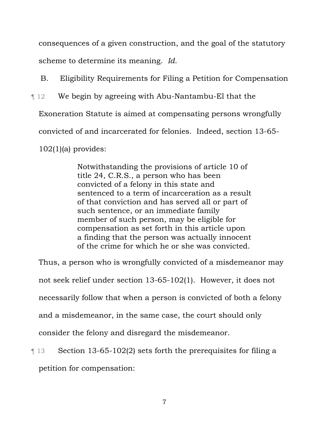consequences of a given construction, and the goal of the statutory scheme to determine its meaning. *Id.*

B. Eligibility Requirements for Filing a Petition for Compensation

¶ 12 We begin by agreeing with Abu-Nantambu-El that the

Exoneration Statute is aimed at compensating persons wrongfully

convicted of and incarcerated for felonies. Indeed, section 13-65-

 $102(1)(a)$  provides:

Notwithstanding the provisions of article 10 of title 24, C.R.S., a person who has been convicted of a felony in this state and sentenced to a term of incarceration as a result of that conviction and has served all or part of such sentence, or an immediate family member of such person, may be eligible for compensation as set forth in this article upon a finding that the person was actually innocent of the crime for which he or she was convicted.

Thus, a person who is wrongfully convicted of a misdemeanor may not seek relief under section 13-65-102(1). However, it does not necessarily follow that when a person is convicted of both a felony and a misdemeanor, in the same case, the court should only consider the felony and disregard the misdemeanor.

¶ 13 Section 13-65-102(2) sets forth the prerequisites for filing a petition for compensation: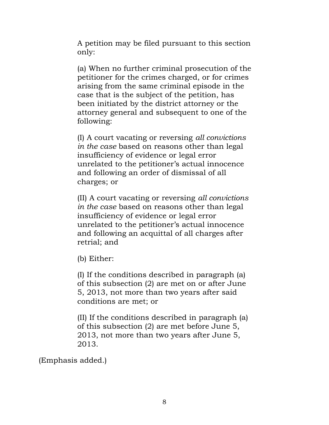A petition may be filed pursuant to this section only:

(a) When no further criminal prosecution of the petitioner for the crimes charged, or for crimes arising from the same criminal episode in the case that is the subject of the petition, has been initiated by the district attorney or the attorney general and subsequent to one of the following:

(I) A court vacating or reversing *all convictions in the case* based on reasons other than legal insufficiency of evidence or legal error unrelated to the petitioner's actual innocence and following an order of dismissal of all charges; or

(II) A court vacating or reversing *all convictions in the case* based on reasons other than legal insufficiency of evidence or legal error unrelated to the petitioner's actual innocence and following an acquittal of all charges after retrial; and

(b) Either:

(I) If the conditions described in paragraph (a) of this subsection (2) are met on or after June 5, 2013, not more than two years after said conditions are met; or

(II) If the conditions described in paragraph (a) of this subsection (2) are met before June 5, 2013, not more than two years after June 5, 2013.

(Emphasis added.)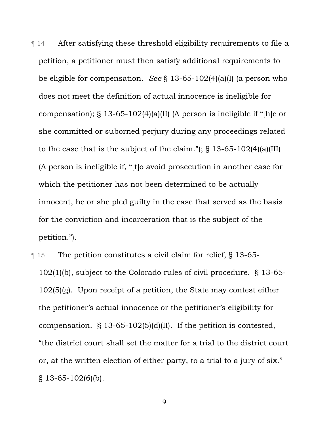¶ 14 After satisfying these threshold eligibility requirements to file a petition, a petitioner must then satisfy additional requirements to be eligible for compensation. *See* § 13-65-102(4)(a)(I) (a person who does not meet the definition of actual innocence is ineligible for compensation); § 13-65-102(4)(a)(II) (A person is ineligible if "[h]e or she committed or suborned perjury during any proceedings related to the case that is the subject of the claim."); § 13-65-102(4)(a)(III) (A person is ineligible if, "[t]o avoid prosecution in another case for which the petitioner has not been determined to be actually innocent, he or she pled guilty in the case that served as the basis for the conviction and incarceration that is the subject of the petition.").

¶ 15 The petition constitutes a civil claim for relief, § 13-65- 102(1)(b), subject to the Colorado rules of civil procedure. § 13-65- 102(5)(g). Upon receipt of a petition, the State may contest either the petitioner's actual innocence or the petitioner's eligibility for compensation. § 13-65-102(5)(d)(II). If the petition is contested, "the district court shall set the matter for a trial to the district court or, at the written election of either party, to a trial to a jury of six." § 13-65-102(6)(b).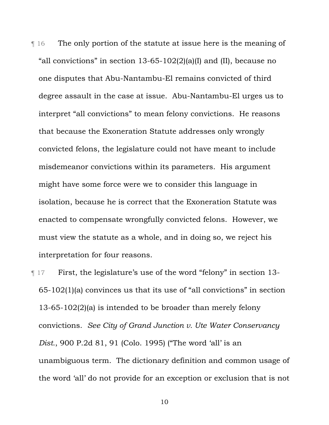¶ 16 The only portion of the statute at issue here is the meaning of "all convictions" in section  $13-65-102(2)(a)(I)$  and (II), because no one disputes that Abu-Nantambu-El remains convicted of third degree assault in the case at issue. Abu-Nantambu-El urges us to interpret "all convictions" to mean felony convictions. He reasons that because the Exoneration Statute addresses only wrongly convicted felons, the legislature could not have meant to include misdemeanor convictions within its parameters. His argument might have some force were we to consider this language in isolation, because he is correct that the Exoneration Statute was enacted to compensate wrongfully convicted felons. However, we must view the statute as a whole, and in doing so, we reject his interpretation for four reasons.

¶ 17 First, the legislature's use of the word "felony" in section 13- 65-102(1)(a) convinces us that its use of "all convictions" in section 13-65-102(2)(a) is intended to be broader than merely felony convictions. *See City of Grand Junction v. Ute Water Conservancy Dist.*, 900 P.2d 81, 91 (Colo. 1995) ("The word 'all' is an unambiguous term. The dictionary definition and common usage of the word 'all' do not provide for an exception or exclusion that is not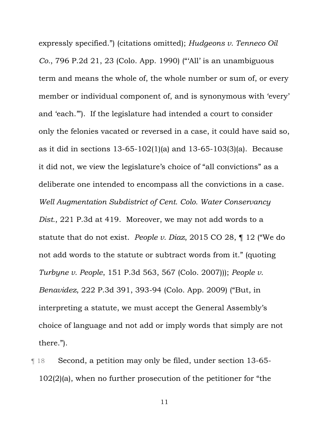expressly specified.") (citations omitted); *Hudgeons v. Tenneco Oil Co.*, 796 P.2d 21, 23 (Colo. App. 1990) ("'All' is an unambiguous term and means the whole of, the whole number or sum of, or every member or individual component of, and is synonymous with 'every' and 'each.'"). If the legislature had intended a court to consider only the felonies vacated or reversed in a case, it could have said so, as it did in sections 13-65-102(1)(a) and 13-65-103(3)(a). Because it did not, we view the legislature's choice of "all convictions" as a deliberate one intended to encompass all the convictions in a case. *Well Augmentation Subdistrict of Cent. Colo. Water Conservancy Dist.*, 221 P.3d at 419. Moreover, we may not add words to a statute that do not exist. *People v. Diaz*, 2015 CO 28, ¶ 12 ("We do not add words to the statute or subtract words from it." (quoting *Turbyne v. People*, 151 P.3d 563, 567 (Colo. 2007))); *People v. Benavidez*, 222 P.3d 391, 393-94 (Colo. App. 2009) ("But, in interpreting a statute, we must accept the General Assembly's choice of language and not add or imply words that simply are not there.").

¶ 18 Second, a petition may only be filed, under section 13-65- 102(2)(a), when no further prosecution of the petitioner for "the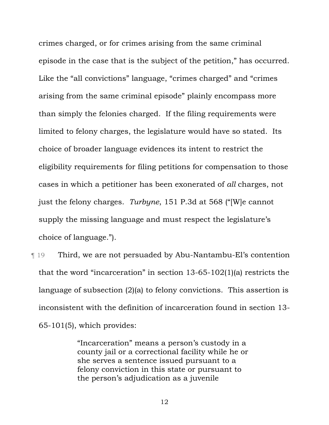crimes charged, or for crimes arising from the same criminal episode in the case that is the subject of the petition," has occurred. Like the "all convictions" language, "crimes charged" and "crimes arising from the same criminal episode" plainly encompass more than simply the felonies charged. If the filing requirements were limited to felony charges, the legislature would have so stated. Its choice of broader language evidences its intent to restrict the eligibility requirements for filing petitions for compensation to those cases in which a petitioner has been exonerated of *all* charges, not just the felony charges. *Turbyne*, 151 P.3d at 568 ("[W]e cannot supply the missing language and must respect the legislature's choice of language.").

¶ 19 Third, we are not persuaded by Abu-Nantambu-El's contention that the word "incarceration" in section 13-65-102(1)(a) restricts the language of subsection (2)(a) to felony convictions. This assertion is inconsistent with the definition of incarceration found in section 13- 65-101(5), which provides:

> "Incarceration" means a person's custody in a county jail or a correctional facility while he or she serves a sentence issued pursuant to a felony conviction in this state or pursuant to the person's adjudication as a juvenile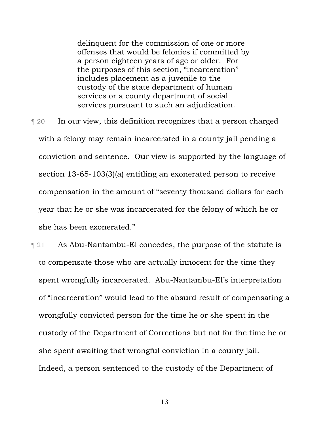delinquent for the commission of one or more offenses that would be felonies if committed by a person eighteen years of age or older. For the purposes of this section, "incarceration" includes placement as a juvenile to the custody of the state department of human services or a county department of social services pursuant to such an adjudication.

¶ 20 In our view, this definition recognizes that a person charged with a felony may remain incarcerated in a county jail pending a conviction and sentence. Our view is supported by the language of section 13-65-103(3)(a) entitling an exonerated person to receive compensation in the amount of "seventy thousand dollars for each year that he or she was incarcerated for the felony of which he or she has been exonerated."

¶ 21 As Abu-Nantambu-El concedes, the purpose of the statute is to compensate those who are actually innocent for the time they spent wrongfully incarcerated. Abu-Nantambu-El's interpretation of "incarceration" would lead to the absurd result of compensating a wrongfully convicted person for the time he or she spent in the custody of the Department of Corrections but not for the time he or she spent awaiting that wrongful conviction in a county jail. Indeed, a person sentenced to the custody of the Department of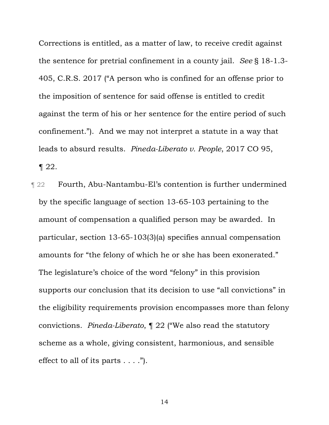Corrections is entitled, as a matter of law, to receive credit against the sentence for pretrial confinement in a county jail. *See* § 18-1.3- 405, C.R.S. 2017 ("A person who is confined for an offense prior to the imposition of sentence for said offense is entitled to credit against the term of his or her sentence for the entire period of such confinement."). And we may not interpret a statute in a way that leads to absurd results. *Pineda-Liberato v. People*, 2017 CO 95,  $\P$  22.

¶ 22 Fourth, Abu-Nantambu-El's contention is further undermined by the specific language of section 13-65-103 pertaining to the amount of compensation a qualified person may be awarded. In particular, section 13-65-103(3)(a) specifies annual compensation amounts for "the felony of which he or she has been exonerated." The legislature's choice of the word "felony" in this provision supports our conclusion that its decision to use "all convictions" in the eligibility requirements provision encompasses more than felony convictions. *Pineda-Liberato*, ¶ 22 ("We also read the statutory scheme as a whole, giving consistent, harmonious, and sensible effect to all of its parts  $\dots$ .").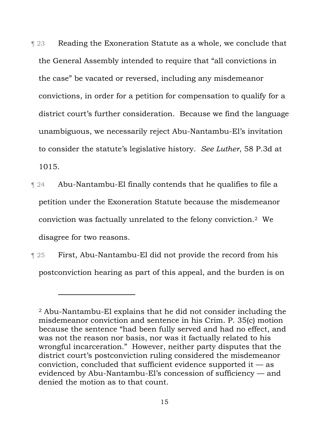¶ 23 Reading the Exoneration Statute as a whole, we conclude that the General Assembly intended to require that "all convictions in the case" be vacated or reversed, including any misdemeanor convictions, in order for a petition for compensation to qualify for a district court's further consideration. Because we find the language unambiguous, we necessarily reject Abu-Nantambu-El's invitation to consider the statute's legislative history. *See Luther*, 58 P.3d at 1015.

- ¶ 24 Abu-Nantambu-El finally contends that he qualifies to file a petition under the Exoneration Statute because the misdemeanor conviction was factually unrelated to the felony conviction.2 We disagree for two reasons.
- ¶ 25 First, Abu-Nantambu-El did not provide the record from his postconviction hearing as part of this appeal, and the burden is on

 $\overline{a}$ 

<sup>2</sup> Abu-Nantambu-El explains that he did not consider including the misdemeanor conviction and sentence in his Crim. P. 35(c) motion because the sentence "had been fully served and had no effect, and was not the reason nor basis, nor was it factually related to his wrongful incarceration." However, neither party disputes that the district court's postconviction ruling considered the misdemeanor conviction, concluded that sufficient evidence supported it  $-$  as evidenced by Abu-Nantambu-El's concession of sufficiency — and denied the motion as to that count.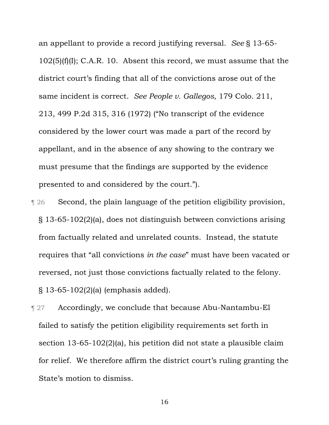an appellant to provide a record justifying reversal. *See* § 13-65-  $102(5)(f)(I); C.A.R. 10.$  Absent this record, we must assume that the district court's finding that all of the convictions arose out of the same incident is correct. *See People v. Gallegos*, 179 Colo. 211, 213, 499 P.2d 315, 316 (1972) ("No transcript of the evidence considered by the lower court was made a part of the record by appellant, and in the absence of any showing to the contrary we must presume that the findings are supported by the evidence presented to and considered by the court.").

- ¶ 26 Second, the plain language of the petition eligibility provision, § 13-65-102(2)(a), does not distinguish between convictions arising from factually related and unrelated counts. Instead, the statute requires that "all convictions *in the case*" must have been vacated or reversed, not just those convictions factually related to the felony. § 13-65-102(2)(a) (emphasis added).
- ¶ 27 Accordingly, we conclude that because Abu-Nantambu-El failed to satisfy the petition eligibility requirements set forth in section 13-65-102(2)(a), his petition did not state a plausible claim for relief. We therefore affirm the district court's ruling granting the State's motion to dismiss.